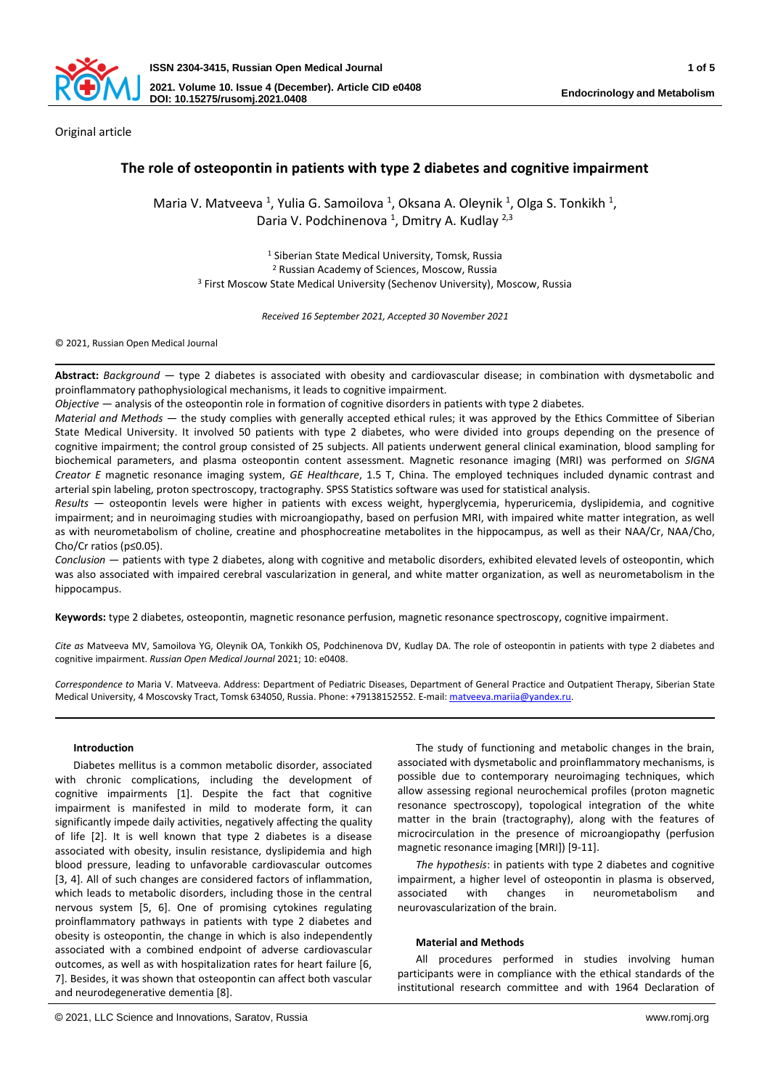

Original article

# **The role of osteopontin in patients with type 2 diabetes and cognitive impairment**

Maria V. Matveeva<sup>1</sup>, Yulia G. Samoilova<sup>1</sup>, Oksana A. Oleynik<sup>1</sup>, Olga S. Tonkikh<sup>1</sup>, Daria V. Podchinenova <sup>1</sup>, Dmitry A. Kudlay <sup>2,3</sup>

<sup>1</sup> Siberian State Medical University, Tomsk, Russia <sup>2</sup> Russian Academy of Sciences, Moscow, Russia <sup>3</sup> First Moscow State Medical University (Sechenov University), Moscow, Russia

*Received 16 September 2021, Accepted 30 November 2021*

© 2021, Russian Open Medical Journal

**Abstract:** *Background —* type 2 diabetes is associated with obesity and cardiovascular disease; in combination with dysmetabolic and proinflammatory pathophysiological mechanisms, it leads to cognitive impairment.

*Objective —* analysis of the osteopontin role in formation of cognitive disorders in patients with type 2 diabetes.

*Material and Methods —* the study complies with generally accepted ethical rules; it was approved by the Ethics Committee of Siberian State Medical University. It involved 50 patients with type 2 diabetes, who were divided into groups depending on the presence of cognitive impairment; the control group consisted of 25 subjects. All patients underwent general clinical examination, blood sampling for biochemical parameters, and plasma osteopontin content assessment. Magnetic resonance imaging (MRI) was performed on *SIGNA Creator E* magnetic resonance imaging system, *GE Healthcare*, 1.5 T, China. The employed techniques included dynamic contrast and arterial spin labeling, proton spectroscopy, tractography. SPSS Statistics software was used for statistical analysis.

*Results —* osteopontin levels were higher in patients with excess weight, hyperglycemia, hyperuricemia, dyslipidemia, and cognitive impairment; and in neuroimaging studies with microangiopathy, based on perfusion MRI, with impaired white matter integration, as well as with neurometabolism of choline, creatine and phosphocreatine metabolites in the hippocampus, as well as their NAA/Cr, NAA/Cho, Cho/Cr ratios (p≤0.05).

*Conclusion —* patients with type 2 diabetes, along with cognitive and metabolic disorders, exhibited elevated levels of osteopontin, which was also associated with impaired cerebral vascularization in general, and white matter organization, as well as neurometabolism in the hippocampus.

**Keywords:** type 2 diabetes, osteopontin, magnetic resonance perfusion, magnetic resonance spectroscopy, cognitive impairment.

*Cite as* Matveeva MV, Samoilova YG, Oleynik OA, Tonkikh OS, Podchinenova DV, Kudlay DA. The role of osteopontin in patients with type 2 diabetes and cognitive impairment. *Russian Open Medical Journal* 2021; 10: e0408.

*Correspondence to* Maria V. Matveeva. Address: Department of Pediatric Diseases, Department of General Practice and Outpatient Therapy, Siberian State Medical University, 4 Moscovsky Tract, Tomsk 634050, Russia. Phone: +79138152552. E-mail[: matveeva.mariia@yandex.ru.](mailto:matveeva.mariia@yandex.ru)

### **Introduction**

Diabetes mellitus is a common metabolic disorder, associated with chronic complications, including the development of cognitive impairments [1]. Despite the fact that cognitive impairment is manifested in mild to moderate form, it can significantly impede daily activities, negatively affecting the quality of life [2]. It is well known that type 2 diabetes is a disease associated with obesity, insulin resistance, dyslipidemia and high blood pressure, leading to unfavorable cardiovascular outcomes [3, 4]. All of such changes are considered factors of inflammation, which leads to metabolic disorders, including those in the central nervous system [5, 6]. One of promising cytokines regulating proinflammatory pathways in patients with type 2 diabetes and obesity is osteopontin, the change in which is also independently associated with a combined endpoint of adverse cardiovascular outcomes, as well as with hospitalization rates for heart failure [6, 7]. Besides, it was shown that osteopontin can affect both vascular and neurodegenerative dementia [8].

associated with dysmetabolic and proinflammatory mechanisms, is possible due to contemporary neuroimaging techniques, which allow assessing regional neurochemical profiles (proton magnetic resonance spectroscopy), topological integration of the white matter in the brain (tractography), along with the features of microcirculation in the presence of microangiopathy (perfusion magnetic resonance imaging [MRI]) [9-11]. *The hypothesis*: in patients with type 2 diabetes and cognitive

impairment, a higher level of osteopontin in plasma is observed, associated with changes in neurometabolism and neurovascularization of the brain.

The study of functioning and metabolic changes in the brain,

#### **Material and Methods**

All procedures performed in studies involving human participants were in compliance with the ethical standards of the institutional research committee and with 1964 Declaration of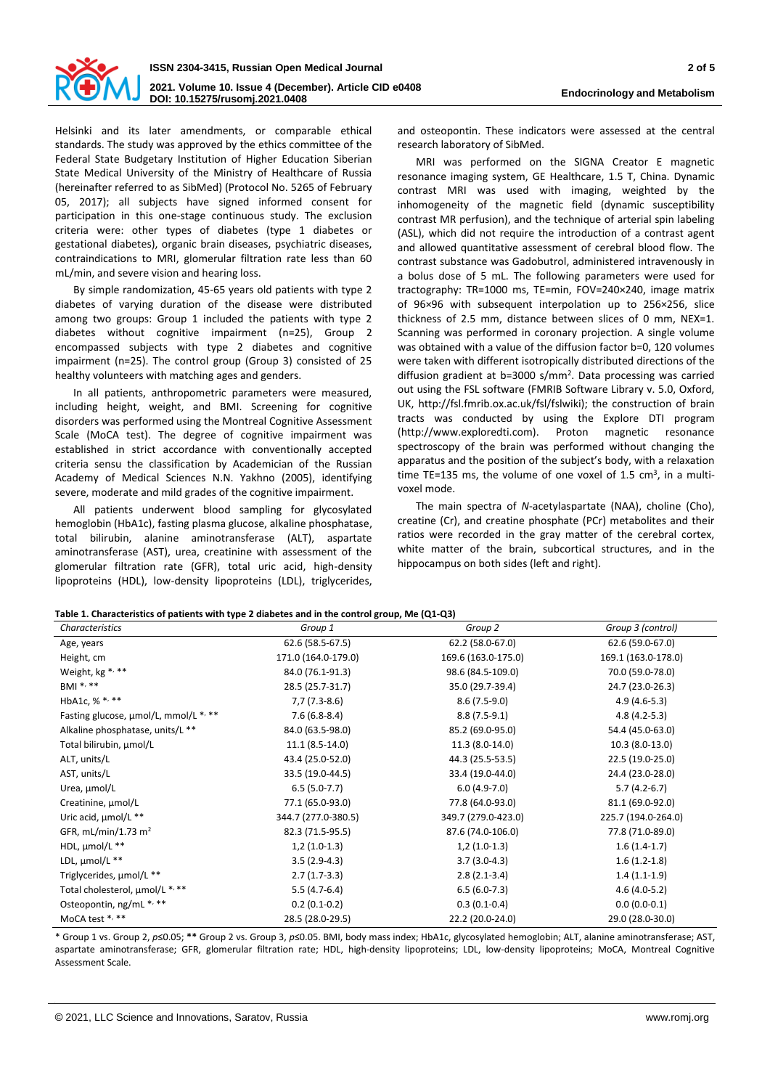

Helsinki and its later amendments, or comparable ethical standards. The study was approved by the ethics committee of the Federal State Budgetary Institution of Higher Education Siberian State Medical University of the Ministry of Healthcare of Russia (hereinafter referred to as SibMed) (Protocol No. 5265 of February 05, 2017); all subjects have signed informed consent for participation in this one-stage continuous study. The exclusion criteria were: other types of diabetes (type 1 diabetes or gestational diabetes), organic brain diseases, psychiatric diseases, contraindications to MRI, glomerular filtration rate less than 60 mL/min, and severe vision and hearing loss.

By simple randomization, 45-65 years old patients with type 2 diabetes of varying duration of the disease were distributed among two groups: Group 1 included the patients with type 2 diabetes without cognitive impairment (n=25), Group 2 encompassed subjects with type 2 diabetes and cognitive impairment (n=25). The control group (Group 3) consisted of 25 healthy volunteers with matching ages and genders.

In all patients, anthropometric parameters were measured, including height, weight, and BMI. Screening for cognitive disorders was performed using the Montreal Cognitive Assessment Scale (MoCA test). The degree of cognitive impairment was established in strict accordance with conventionally accepted criteria sensu the classification by Academician of the Russian Academy of Medical Sciences N.N. Yakhno (2005), identifying severe, moderate and mild grades of the cognitive impairment.

All patients underwent blood sampling for glycosylated hemoglobin (HbA1c), fasting plasma glucose, alkaline phosphatase, total bilirubin, alanine aminotransferase (ALT), aspartate aminotransferase (AST), urea, creatinine with assessment of the glomerular filtration rate (GFR), total uric acid, high-density lipoproteins (HDL), low-density lipoproteins (LDL), triglycerides,

and osteopontin. These indicators were assessed at the central research laboratory of SibMed.

MRI was performed on the SIGNA Creator E magnetic resonance imaging system, GE Healthcare, 1.5 T, China. Dynamic contrast MRI was used with imaging, weighted by the inhomogeneity of the magnetic field (dynamic susceptibility contrast MR perfusion), and the technique of arterial spin labeling (ASL), which did not require the introduction of a contrast agent and allowed quantitative assessment of cerebral blood flow. The contrast substance was Gadobutrol, administered intravenously in a bolus dose of 5 mL. The following parameters were used for tractography: TR=1000 ms, TE=min, FOV=240×240, image matrix of 96×96 with subsequent interpolation up to 256×256, slice thickness of 2.5 mm, distance between slices of 0 mm, NEX=1. Scanning was performed in coronary projection. A single volume was obtained with a value of the diffusion factor b=0, 120 volumes were taken with different isotropically distributed directions of the diffusion gradient at b=3000 s/mm<sup>2</sup> . Data processing was carried out using the FSL software (FMRIB Software Library v. 5.0, Oxford, UK, http://fsl.fmrib.ox.ac.uk/fsl/fslwiki); the construction of brain tracts was conducted by using the Explore DTI program (http://www.exploredti.com). Proton magnetic resonance spectroscopy of the brain was performed without changing the apparatus and the position of the subject's body, with a relaxation time TE=135 ms, the volume of one voxel of  $1.5 \text{ cm}^3$ , in a multivoxel mode.

The main spectra of *N*-acetylaspartate (NAA), choline (Cho), creatine (Cr), and creatine phosphate (PCr) metabolites and their ratios were recorded in the gray matter of the cerebral cortex, white matter of the brain, subcortical structures, and in the hippocampus on both sides (left and right).

|  |  |  |  | Table 1. Characteristics of patients with type 2 diabetes and in the control group, Me (Q1-Q3) |
|--|--|--|--|------------------------------------------------------------------------------------------------|
|--|--|--|--|------------------------------------------------------------------------------------------------|

| $\frac{1}{100}$ . The property state of patients with type a unabeles and in the control group, no $\left[\mathcal{A}^{\perp},\mathcal{A}\right]$<br>Characteristics | Group 1             | Group 2             | Group 3 (control)   |
|----------------------------------------------------------------------------------------------------------------------------------------------------------------------|---------------------|---------------------|---------------------|
| Age, years                                                                                                                                                           | 62.6 (58.5-67.5)    | 62.2 (58.0-67.0)    | 62.6 (59.0-67.0)    |
| Height, cm                                                                                                                                                           | 171.0 (164.0-179.0) | 169.6 (163.0-175.0) | 169.1 (163.0-178.0) |
| Weight, kg *, **                                                                                                                                                     | 84.0 (76.1-91.3)    | 98.6 (84.5-109.0)   | 70.0 (59.0-78.0)    |
| BMI *, **                                                                                                                                                            | 28.5 (25.7-31.7)    | 35.0 (29.7-39.4)    | 24.7 (23.0-26.3)    |
| HbA1c, % *, **                                                                                                                                                       | $7,7(7.3-8.6)$      | $8.6(7.5-9.0)$      | $4.9(4.6-5.3)$      |
| Fasting glucose, µmol/L, mmol/L *, **                                                                                                                                | $7.6(6.8-8.4)$      | $8.8(7.5-9.1)$      | $4.8(4.2-5.3)$      |
| Alkaline phosphatase, units/L **                                                                                                                                     | 84.0 (63.5-98.0)    | 85.2 (69.0-95.0)    | 54.4 (45.0-63.0)    |
| Total bilirubin, µmol/L                                                                                                                                              | $11.1 (8.5 - 14.0)$ | 11.3 (8.0-14.0)     | $10.3(8.0-13.0)$    |
| ALT, units/L                                                                                                                                                         | 43.4 (25.0-52.0)    | 44.3 (25.5-53.5)    | 22.5 (19.0-25.0)    |
| AST, units/L                                                                                                                                                         | 33.5 (19.0-44.5)    | 33.4 (19.0-44.0)    | 24.4 (23.0-28.0)    |
| Urea, µmol/L                                                                                                                                                         | $6.5(5.0-7.7)$      | $6.0(4.9-7.0)$      | $5.7(4.2-6.7)$      |
| Creatinine, µmol/L                                                                                                                                                   | 77.1 (65.0-93.0)    | 77.8 (64.0-93.0)    | 81.1 (69.0-92.0)    |
| Uric acid, µmol/L **                                                                                                                                                 | 344.7 (277.0-380.5) | 349.7 (279.0-423.0) | 225.7 (194.0-264.0) |
| GFR, mL/min/1.73 $m2$                                                                                                                                                | 82.3 (71.5-95.5)    | 87.6 (74.0-106.0)   | 77.8 (71.0-89.0)    |
| HDL, µmol/L **                                                                                                                                                       | $1,2(1.0-1.3)$      | $1,2(1.0-1.3)$      | $1.6(1.4-1.7)$      |
| LDL, µmol/L **                                                                                                                                                       | $3.5(2.9-4.3)$      | $3.7(3.0-4.3)$      | $1.6(1.2-1.8)$      |
| Triglycerides, µmol/L **                                                                                                                                             | $2.7(1.7-3.3)$      | $2.8(2.1-3.4)$      | $1.4(1.1-1.9)$      |
| Total cholesterol, µmol/L *, **                                                                                                                                      | $5.5(4.7-6.4)$      | $6.5(6.0-7.3)$      | $4.6(4.0-5.2)$      |
| Osteopontin, ng/mL *, **                                                                                                                                             | $0.2(0.1-0.2)$      | $0.3(0.1-0.4)$      | $0.0(0.0-0.1)$      |
| MoCA test *, **                                                                                                                                                      | 28.5 (28.0-29.5)    | 22.2 (20.0-24.0)    | 29.0 (28.0-30.0)    |

\* Group 1 vs. Group 2, *p*≤0.05; **\*\*** Group 2 vs. Group 3, *p*≤0.05. BMI, body mass index; HbA1c, glycosylated hemoglobin; ALT, alanine aminotransferase; AST, aspartate aminotransferase; GFR, glomerular filtration rate; HDL, high-density lipoproteins; LDL, low-density lipoproteins; MoCA, Montreal Cognitive Assessment Scale.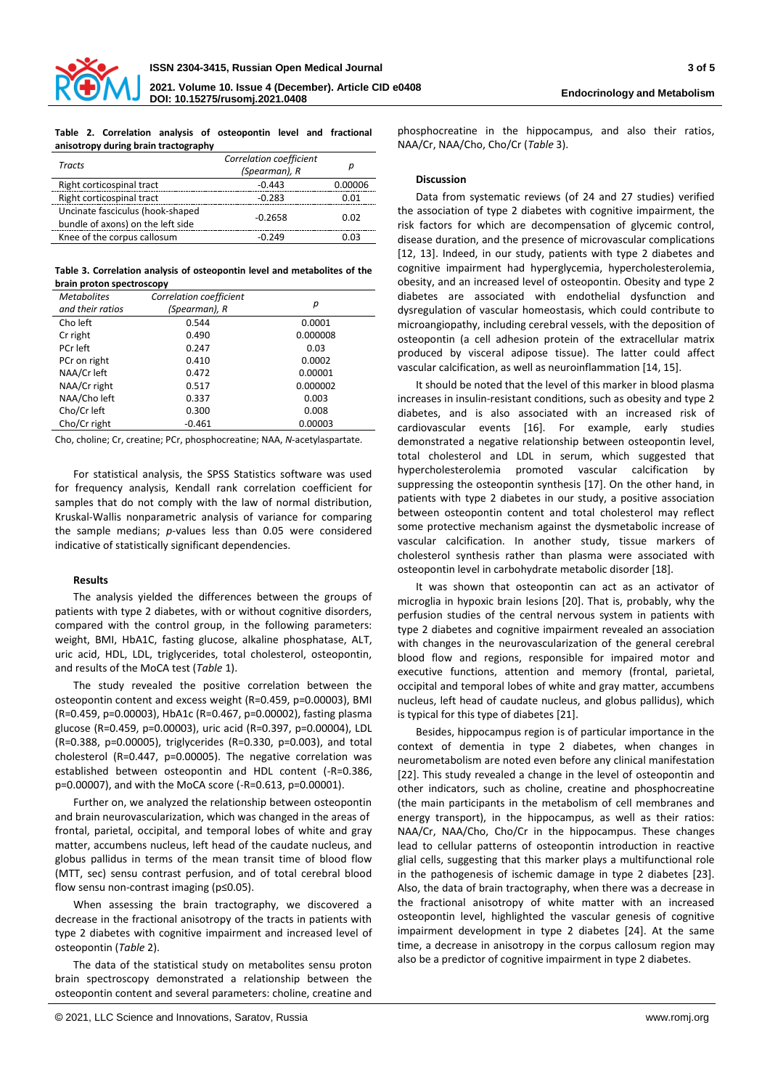

**Table 2. Correlation analysis of osteopontin level and fractional anisotropy during brain tractography**

phosphocreatine in the hippocampus, and also their ratios, NAA/Cr, NAA/Cho, Cho/Cr (*Table* 3).

| Tracts                                                                | Correlation coefficient<br>(Spearman), R | n       |
|-----------------------------------------------------------------------|------------------------------------------|---------|
| Right corticospinal tract                                             | $-0.443$                                 | 0.00006 |
| Right corticospinal tract                                             | $-0.283$                                 | 0.01    |
| Uncinate fasciculus (hook-shaped<br>bundle of axons) on the left side | $-0.2658$                                | 0.02    |
| Knee of the corpus callosum                                           | $-0.249$                                 | 0.03    |

**Table 3. Correlation analysis of osteopontin level and metabolites of the brain proton spectroscopy**

| <b>Metabolites</b><br>and their ratios | Correlation coefficient<br>(Spearman), R | р        |  |
|----------------------------------------|------------------------------------------|----------|--|
| Cho left                               | 0.544                                    | 0.0001   |  |
| Cr right                               | 0.490                                    | 0.000008 |  |
| PCr left                               | 0.247                                    | 0.03     |  |
| PCr on right                           | 0.410                                    | 0.0002   |  |
| NAA/Cr left                            | 0.472                                    | 0.00001  |  |
| NAA/Cr right                           | 0.517                                    | 0.000002 |  |
| NAA/Cho left                           | 0.337                                    | 0.003    |  |
| Cho/Cr left                            | 0.300                                    | 0.008    |  |
| Cho/Cr right                           | $-0.461$                                 | 0.00003  |  |

Cho, choline; Cr, creatine; PCr, phosphocreatine; NAA, *N*-acetylaspartate.

For statistical analysis, the SPSS Statistics software was used for frequency analysis, Kendall rank correlation coefficient for samples that do not comply with the law of normal distribution, Kruskal-Wallis nonparametric analysis of variance for comparing the sample medians; *p*-values less than 0.05 were considered indicative of statistically significant dependencies.

#### **Results**

The analysis yielded the differences between the groups of patients with type 2 diabetes, with or without cognitive disorders, compared with the control group, in the following parameters: weight, BMI, HbA1C, fasting glucose, alkaline phosphatase, ALT, uric acid, HDL, LDL, triglycerides, total cholesterol, osteopontin, and results of the MoCA test (*Table* 1).

The study revealed the positive correlation between the osteopontin content and excess weight (R=0.459, p=0.00003), BMI (R=0.459, p=0.00003), HbA1c (R=0.467, p=0.00002), fasting plasma glucose (R=0.459, p=0.00003), uric acid (R=0.397, p=0.00004), LDL (R=0.388, p=0.00005), triglycerides (R=0.330, p=0.003), and total cholesterol (R=0.447, p=0.00005). The negative correlation was established between osteopontin and HDL content (-R=0.386, p=0.00007), and with the MoCA score (-R=0.613, p=0.00001).

Further on, we analyzed the relationship between osteopontin and brain neurovascularization, which was changed in the areas of frontal, parietal, occipital, and temporal lobes of white and gray matter, accumbens nucleus, left head of the caudate nucleus, and globus pallidus in terms of the mean transit time of blood flow (MTT, sec) sensu contrast perfusion, and of total cerebral blood flow sensu non-contrast imaging (p≤0.05).

When assessing the brain tractography, we discovered a decrease in the fractional anisotropy of the tracts in patients with type 2 diabetes with cognitive impairment and increased level of osteopontin (*Table* 2).

The data of the statistical study on metabolites sensu proton brain spectroscopy demonstrated a relationship between the osteopontin content and several parameters: choline, creatine and

### **Discussion**

Data from systematic reviews (of 24 and 27 studies) verified the association of type 2 diabetes with cognitive impairment, the risk factors for which are decompensation of glycemic control, disease duration, and the presence of microvascular complications [12, 13]. Indeed, in our study, patients with type 2 diabetes and cognitive impairment had hyperglycemia, hypercholesterolemia, obesity, and an increased level of osteopontin. Obesity and type 2 diabetes are associated with endothelial dysfunction and dysregulation of vascular homeostasis, which could contribute to microangiopathy, including cerebral vessels, with the deposition of osteopontin (a cell adhesion protein of the extracellular matrix produced by visceral adipose tissue). The latter could affect vascular calcification, as well as neuroinflammation [14, 15].

It should be noted that the level of this marker in blood plasma increases in insulin-resistant conditions, such as obesity and type 2 diabetes, and is also associated with an increased risk of cardiovascular events [16]. For example, early studies demonstrated a negative relationship between osteopontin level, total cholesterol and LDL in serum, which suggested that hypercholesterolemia promoted vascular calcification by suppressing the osteopontin synthesis [17]. On the other hand, in patients with type 2 diabetes in our study, a positive association between osteopontin content and total cholesterol may reflect some protective mechanism against the dysmetabolic increase of vascular calcification. In another study, tissue markers of cholesterol synthesis rather than plasma were associated with osteopontin level in carbohydrate metabolic disorder [18].

It was shown that osteopontin can act as an activator of microglia in hypoxic brain lesions [20]. That is, probably, why the perfusion studies of the central nervous system in patients with type 2 diabetes and cognitive impairment revealed an association with changes in the neurovascularization of the general cerebral blood flow and regions, responsible for impaired motor and executive functions, attention and memory (frontal, parietal, occipital and temporal lobes of white and gray matter, accumbens nucleus, left head of caudate nucleus, and globus pallidus), which is typical for this type of diabetes [21].

Besides, hippocampus region is of particular importance in the context of dementia in type 2 diabetes, when changes in neurometabolism are noted even before any clinical manifestation [22]. This study revealed a change in the level of osteopontin and other indicators, such as choline, creatine and phosphocreatine (the main participants in the metabolism of cell membranes and energy transport), in the hippocampus, as well as their ratios: NAA/Cr, NAA/Cho, Cho/Cr in the hippocampus. These changes lead to cellular patterns of osteopontin introduction in reactive glial cells, suggesting that this marker plays a multifunctional role in the pathogenesis of ischemic damage in type 2 diabetes [23]. Also, the data of brain tractography, when there was a decrease in the fractional anisotropy of white matter with an increased osteopontin level, highlighted the vascular genesis of cognitive impairment development in type 2 diabetes [24]. At the same time, a decrease in anisotropy in the corpus callosum region may also be a predictor of cognitive impairment in type 2 diabetes.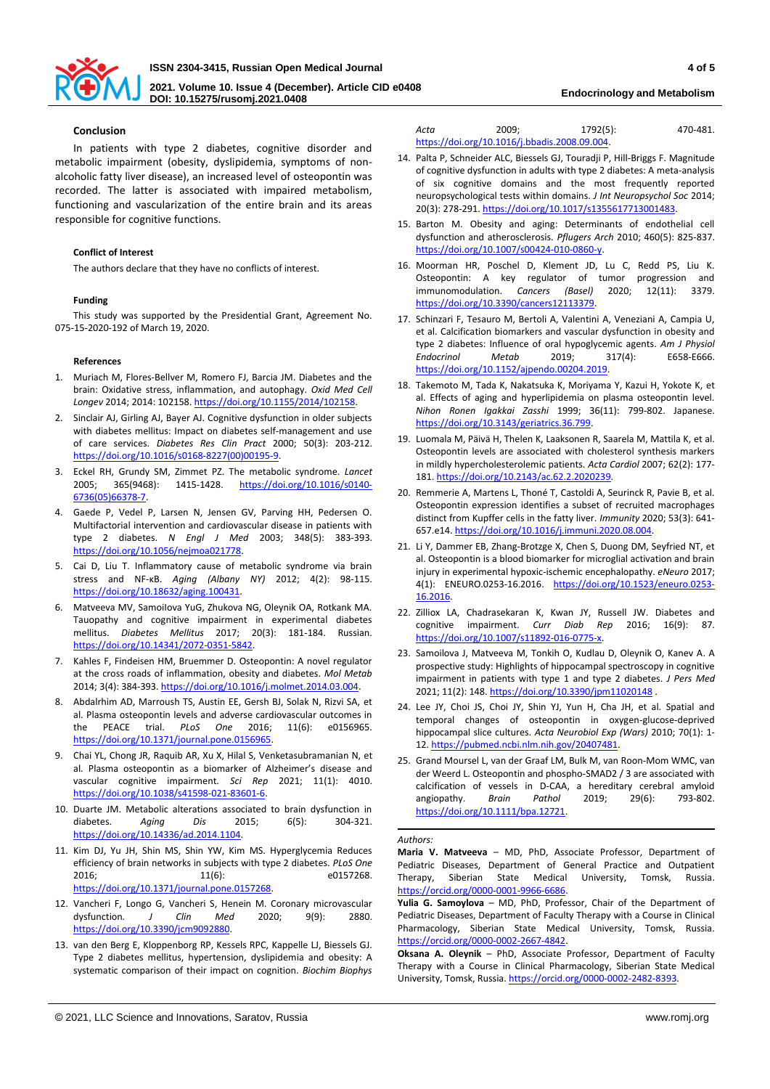

**2021. Volume 10. Issue 4 (December). Article CID e0408 DOI: 10.15275/rusomj.2021.0408 Endocrinology and Metabolism**

## **Conclusion**

In patients with type 2 diabetes, cognitive disorder and metabolic impairment (obesity, dyslipidemia, symptoms of nonalcoholic fatty liver disease), an increased level of osteopontin was recorded. The latter is associated with impaired metabolism, functioning and vascularization of the entire brain and its areas responsible for cognitive functions.

### **Conflict of Interest**

The authors declare that they have no conflicts of interest.

### **Funding**

This study was supported by the Presidential Grant, Agreement No. 075-15-2020-192 of March 19, 2020.

#### **References**

- 1. Muriach M, Flores-Bellver M, Romero FJ, Barcia JM. Diabetes and the brain: Oxidative stress, inflammation, and autophagy. *Oxid Med Cell Longev* 2014; 2014: 102158[. https://doi.org/10.1155/2014/102158.](https://doi.org/10.1155/2014/102158)
- 2. Sinclair AJ, Girling AJ, Bayer AJ. Cognitive dysfunction in older subjects with diabetes mellitus: Impact on diabetes self-management and use of care services. *Diabetes Res Clin Pract* 2000; 50(3): 203-212. [https://doi.org/10.1016/s0168-8227\(00\)00195-9.](https://doi.org/10.1016/s0168-8227(00)00195-9)
- 3. Eckel RH, Grundy SM, Zimmet PZ. The metabolic syndrome. *Lancet* 2005; 365(9468): 1415-1428. [https://doi.org/10.1016/s0140-](https://doi.org/10.1016/s0140-6736(05)66378-7) [6736\(05\)66378-7.](https://doi.org/10.1016/s0140-6736(05)66378-7)
- 4. Gaede P, Vedel P, Larsen N, Jensen GV, Parving HH, Pedersen O. Multifactorial intervention and cardiovascular disease in patients with type 2 diabetes. *N Engl J Med* 2003; 348(5): 383-393. [https://doi.org/10.1056/nejmoa021778.](https://doi.org/10.1056/nejmoa021778)
- 5. Cai D, Liu T. Inflammatory cause of metabolic syndrome via brain stress and NF-κB. *Aging (Albany NY)* 2012; 4(2): 98-115. [https://doi.org/10.18632/aging.100431.](https://doi.org/10.18632/aging.100431)
- 6. Matveeva MV, SamoiIova YuG, Zhukova NG, Oleynik OA, Rotkank MA. Tauopathy and cognitive impairment in experimental diabetes mellitus. *Diabetes Mellitus* 2017; 20(3): 181-184. Russian. [https://doi.org/10.14341/2072-0351-5842.](https://doi.org/10.14341/2072-0351-5842)
- 7. Kahles F, Findeisen HM, Bruemmer D. Osteopontin: A novel regulator at the cross roads of inflammation, obesity and diabetes. *Mol Metab* 2014; 3(4): 384-393[. https://doi.org/10.1016/j.molmet.2014.03.004.](https://doi.org/10.1016/j.molmet.2014.03.004)
- 8. Abdalrhim AD, Marroush TS, Austin EE, Gersh BJ, Solak N, Rizvi SA, et al. Plasma osteopontin levels and adverse cardiovascular outcomes in the PEACE trial. *PLoS One* 2016; 11(6): e0156965. [https://doi.org/10.1371/journal.pone.0156965.](https://doi.org/10.1371/journal.pone.0156965)
- 9. Chai YL, Chong JR, Raquib AR, Xu X, Hilal S, Venketasubramanian N, et al. Plasma osteopontin as a biomarker of Alzheimer's disease and vascular cognitive impairment. *Sci Rep* 2021; 11(1): 4010. [https://doi.org/10.1038/s41598-021-83601-6.](https://doi.org/10.1038/s41598-021-83601-6)
- 10. Duarte JM. Metabolic alterations associated to brain dysfunction in diabetes. *Aging Dis* 2015; 6(5): 304-321. [https://doi.org/10.14336/ad.2014.1104.](https://doi.org/10.14336/ad.2014.1104)
- 11. Kim DJ, Yu JH, Shin MS, Shin YW, Kim MS. Hyperglycemia Reduces efficiency of brain networks in subjects with type 2 diabetes. *PLoS One* 2016; 11(6): e0157268. [https://doi.org/10.1371/journal.pone.0157268.](https://doi.org/10.1371/journal.pone.0157268)
- 12. Vancheri F, Longo G, Vancheri S, Henein M. Coronary microvascular dysfunction*. J Clin Med* 2020; 9(9): 2880. [https://doi.org/10.3390/jcm9092880.](https://doi.org/10.3390/jcm9092880)
- 13. van den Berg E, Kloppenborg RP, Kessels RPC, Kappelle LJ, Biessels GJ. Type 2 diabetes mellitus, hypertension, dyslipidemia and obesity: A systematic comparison of their impact on cognition. *Biochim Biophys*

*Acta* 2009; 1792(5): 470-481. [https://doi.org/10.1016/j.bbadis.2008.09.004.](https://doi.org/10.1016/j.bbadis.2008.09.004) 

- 14. Palta P, Schneider ALC, Biessels GJ, Touradji P, Hill-Briggs F. Magnitude of cognitive dysfunction in adults with type 2 diabetes: A meta-analysis of six cognitive domains and the most frequently reported neuropsychological tests within domains. *J Int Neuropsychol Soc* 2014; 20(3): 278-291. https://doi.org/10.1017/s1355617713001483
- 15. Barton M. Obesity and aging: Determinants of endothelial cell dysfunction and atherosclerosis. *Pflugers Arch* 2010; 460(5): 825-837. [https://doi.org/10.1007/s00424-010-0860-y.](https://doi.org/10.1007/s00424-010-0860-y)
- 16. Moorman HR, Poschel D, Klement JD, Lu C, Redd PS, Liu K. Osteopontin: A key regulator of tumor progression and immunomodulation. *Cancers (Basel)* 2020; 12(11): 3379. [https://doi.org/10.3390/cancers12113379.](https://doi.org/10.3390/cancers12113379)
- 17. Schinzari F, Tesauro M, Bertoli A, Valentini A, Veneziani A, Campia U, et al. Calcification biomarkers and vascular dysfunction in obesity and type 2 diabetes: Influence of oral hypoglycemic agents. *Am J Physiol Endocrinol Metab* 2019; 317(4): E658-E666. [https://doi.org/10.1152/ajpendo.00204.2019.](https://doi.org/10.1152/ajpendo.00204.2019)
- 18. Takemoto M, Tada K, Nakatsuka K, Moriyama Y, Kazui H, Yokote K, et al. Effects of aging and hyperlipidemia on plasma osteopontin level. *Nihon Ronen Igakkai Zasshi* 1999; 36(11): 799-802. Japanese. [https://doi.org/10.3143/geriatrics.36.799.](https://doi.org/10.3143/geriatrics.36.799)
- 19. Luomala M, Päivä H, Thelen K, Laaksonen R, Saarela M, Mattila K, et al. Osteopontin levels are associated with cholesterol synthesis markers in mildly hypercholesterolemic patients. *Acta Cardiol* 2007; 62(2): 177- 181[. https://doi.org/10.2143/ac.62.2.2020239.](https://doi.org/10.2143/ac.62.2.2020239)
- 20. Remmerie A, Martens L, Thoné T, Castoldi A, Seurinck R, Pavie B, et al. Osteopontin expression identifies a subset of recruited macrophages distinct from Kupffer cells in the fatty liver. *Immunity* 2020; 53(3): 641- 657.e14[. https://doi.org/10.1016/j.immuni.2020.08.004.](https://doi.org/10.1016/j.immuni.2020.08.004)
- 21. Li Y, Dammer EB, Zhang-Brotzge X, Chen S, Duong DM, Seyfried NT, et al. Osteopontin is a blood biomarker for microglial activation and brain injury in experimental hypoxic-ischemic encephalopathy. *eNeuro* 2017; 4(1): ENEURO.0253-16.2016. [https://doi.org/10.1523/eneuro.0253-](https://doi.org/10.1523/eneuro.0253-16.2016) [16.2016.](https://doi.org/10.1523/eneuro.0253-16.2016)
- 22. Zilliox LA, Chadrasekaran K, Kwan JY, Russell JW. Diabetes and cognitive impairment. *Curr Diab Rep* 2016; 16(9): 87. https://doi.org/10.1007/s11892-016-0775-
- 23. Samoilova J, Matveeva M, Tonkih O, Kudlau D, Oleynik O, Kanev A. A prospective study: Highlights of hippocampal spectroscopy in cognitive impairment in patients with type 1 and type 2 diabetes. *J Pers Med* 2021; 11(2): 148. <https://doi.org/10.3390/jpm11020148>
- 24. Lee JY, Choi JS, Choi JY, Shin YJ, Yun H, Cha JH, et al. Spatial and temporal changes of osteopontin in oxygen-glucose-deprived hippocampal slice cultures. *Acta Neurobiol Exp (Wars)* 2010; 70(1): 1- 12. [https://pubmed.ncbi.nlm.nih.gov/20407481.](https://pubmed.ncbi.nlm.nih.gov/20407481)
- 25. Grand Moursel L, van der Graaf LM, Bulk M, van Roon-Mom WMC, van der Weerd L. Osteopontin and phospho-SMAD2 / 3 are associated with calcification of vessels in D-CAA, a hereditary cerebral amyloid angiopathy. *Brain Pathol* 2019; 29(6): 793-802. [https://doi.org/10.1111/bpa.12721.](https://doi.org/10.1111/bpa.12721)

#### *Authors:*

**Maria V. Matveeva** – MD, PhD, Associate Professor, Department of Pediatric Diseases, Department of General Practice and Outpatient Therapy, Siberian State Medical University, Tomsk, Russia. [https://orcid.org/0000-0001-9966-6686.](https://orcid.org/0000-0001-9966-6686)

**Yulia G. Samoylova** – MD, PhD, Professor, Chair of the Department of Pediatric Diseases, Department of Faculty Therapy with a Course in Clinical Pharmacology, Siberian State Medical University, Tomsk, Russia. [https://orcid.org/0000-0002-2667-4842.](https://orcid.org/0000-0002-2667-4842)

**Oksana A. Oleynik** – PhD, Associate Professor, Department of Faculty Therapy with a Course in Clinical Pharmacology, Siberian State Medical University, Tomsk, Russia. [https://orcid.org/0000-0002-2482-8393.](https://orcid.org/0000-0002-2482-8393)